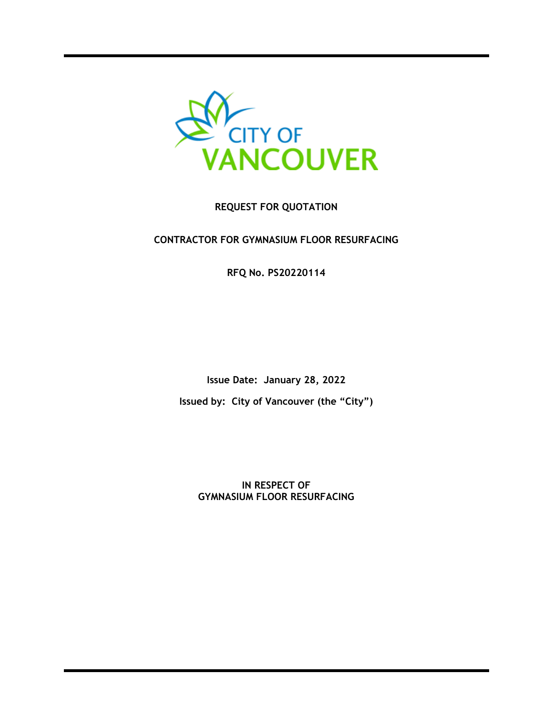

## **REQUEST FOR QUOTATION**

## **CONTRACTOR FOR GYMNASIUM FLOOR RESURFACING**

**RFQ No. PS20220114**

**Issue Date: January 28, 2022 Issued by: City of Vancouver (the "City")**

**IN RESPECT OF GYMNASIUM FLOOR RESURFACING**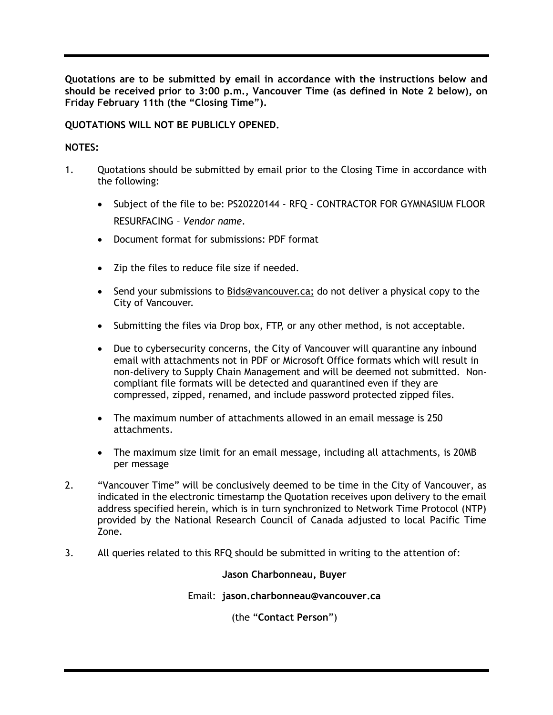**Quotations are to be submitted by email in accordance with the instructions below and should be received prior to 3:00 p.m., Vancouver Time (as defined in Note 2 below), on Friday February 11th (the "Closing Time").**

**QUOTATIONS WILL NOT BE PUBLICLY OPENED.**

## **NOTES:**

- 1. Quotations should be submitted by email prior to the Closing Time in accordance with the following:
	- Subject of the file to be: PS20220144 RFQ CONTRACTOR FOR GYMNASIUM FLOOR RESURFACING – *Vendor name*.
	- Document format for submissions: PDF format
	- Zip the files to reduce file size if needed.
	- Send your submissions to [Bids@vancouver.ca;](mailto:Bids@vancouver.ca) do not deliver a physical copy to the City of Vancouver.
	- Submitting the files via Drop box, FTP, or any other method, is not acceptable.
	- Due to cybersecurity concerns, the City of Vancouver will quarantine any inbound email with attachments not in PDF or Microsoft Office formats which will result in non-delivery to Supply Chain Management and will be deemed not submitted. Noncompliant file formats will be detected and quarantined even if they are compressed, zipped, renamed, and include password protected zipped files.
	- The maximum number of attachments allowed in an email message is 250 attachments.
	- The maximum size limit for an email message, including all attachments, is 20MB per message
- 2. "Vancouver Time" will be conclusively deemed to be time in the City of Vancouver, as indicated in the electronic timestamp the Quotation receives upon delivery to the email address specified herein, which is in turn synchronized to Network Time Protocol (NTP) provided by the National Research Council of Canada adjusted to local Pacific Time Zone.
- 3. All queries related to this RFQ should be submitted in writing to the attention of:

**Jason Charbonneau, Buyer**

Email: **jason.charbonneau@vancouver.ca**

(the "**Contact Person**")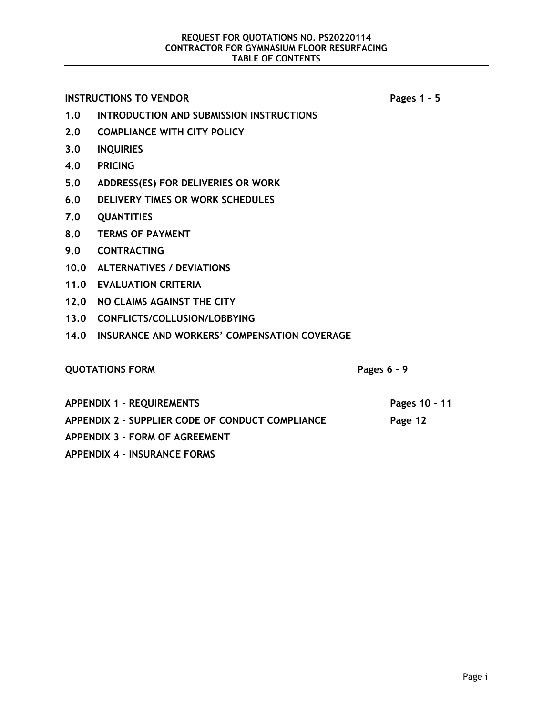**INSTRUCTIONS TO VENDOR Pages 1 – 5** 

**1.0 INTRODUCTION AND SUBMISSION INSTRUCTIONS**

- **2.0 COMPLIANCE WITH CITY POLICY**
- **3.0 INQUIRIES**
- **4.0 PRICING**
- **5.0 ADDRESS(ES) FOR DELIVERIES OR WORK**
- **6.0 DELIVERY TIMES OR WORK SCHEDULES**
- **7.0 QUANTITIES**
- **8.0 TERMS OF PAYMENT**
- **9.0 CONTRACTING**
- **10.0 ALTERNATIVES / DEVIATIONS**
- **11.0 EVALUATION CRITERIA**
- **12.0 NO CLAIMS AGAINST THE CITY**
- **13.0 CONFLICTS/COLLUSION/LOBBYING**
- **14.0 INSURANCE AND WORKERS' COMPENSATION COVERAGE**

## **QUOTATIONS FORM Pages 6 – 9**

**Pages 10 – 11**

**Page 12**

**APPENDIX 1 – REQUIREMENTS** 

**APPENDIX 2 – SUPPLIER CODE OF CONDUCT COMPLIANCE**

**APPENDIX 3 – FORM OF AGREEMENT** 

**APPENDIX 4 – INSURANCE FORMS**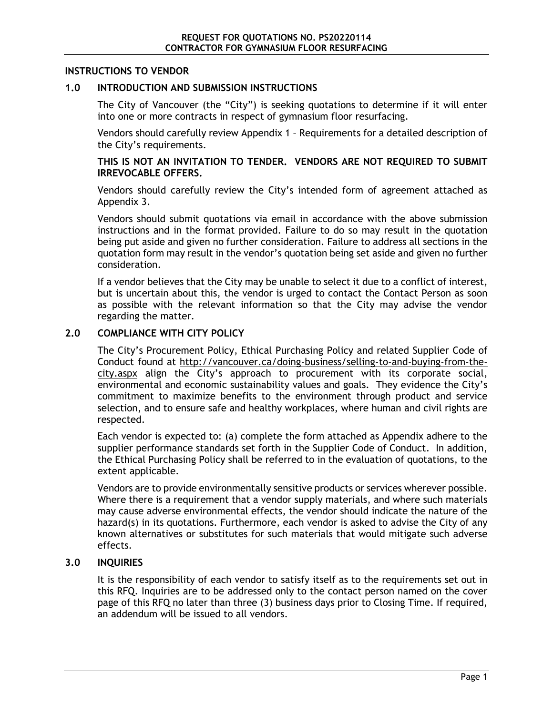#### **INSTRUCTIONS TO VENDOR**

#### **1.0 INTRODUCTION AND SUBMISSION INSTRUCTIONS**

The City of Vancouver (the "City") is seeking quotations to determine if it will enter into one or more contracts in respect of gymnasium floor resurfacing.

Vendors should carefully review Appendix [1](#page-12-0) – Requirements for a detailed description of the City's requirements.

**THIS IS NOT AN INVITATION TO TENDER. VENDORS ARE NOT REQUIRED TO SUBMIT IRREVOCABLE OFFERS.**

Vendors should carefully review the City's intended form of agreement attached as Appendix [3.](#page-15-0)

Vendors should submit quotations via email in accordance with the above submission instructions and in the format provided. Failure to do so may result in the quotation being put aside and given no further consideration. Failure to address all sections in the quotation form may result in the vendor's quotation being set aside and given no further consideration.

If a vendor believes that the City may be unable to select it due to a conflict of interest, but is uncertain about this, the vendor is urged to contact the Contact Person as soon as possible with the relevant information so that the City may advise the vendor regarding the matter.

#### **2.0 COMPLIANCE WITH CITY POLICY**

The City's Procurement Policy, Ethical Purchasing Policy and related Supplier Code of Conduct found at [http://vancouver.ca/doing-business/selling-to-and-buying-from-the](http://vancouver.ca/doing-business/selling-to-and-buying-from-the-city.aspx)[city.aspx](http://vancouver.ca/doing-business/selling-to-and-buying-from-the-city.aspx) align the City's approach to procurement with its corporate social, environmental and economic sustainability values and goals. They evidence the City's commitment to maximize benefits to the environment through product and service selection, and to ensure safe and healthy workplaces, where human and civil rights are respected.

Each vendor is expected to: (a) complete the form attached as Appendix adhere to the supplier performance standards set forth in the Supplier Code of Conduct. In addition, the Ethical Purchasing Policy shall be referred to in the evaluation of quotations, to the extent applicable.

Vendors are to provide environmentally sensitive products or services wherever possible. Where there is a requirement that a vendor supply materials, and where such materials may cause adverse environmental effects, the vendor should indicate the nature of the hazard(s) in its quotations. Furthermore, each vendor is asked to advise the City of any known alternatives or substitutes for such materials that would mitigate such adverse effects.

#### **3.0 INQUIRIES**

It is the responsibility of each vendor to satisfy itself as to the requirements set out in this RFQ. Inquiries are to be addressed only to the contact person named on the cover page of this RFQ no later than three (3) business days prior to Closing Time. If required, an addendum will be issued to all vendors.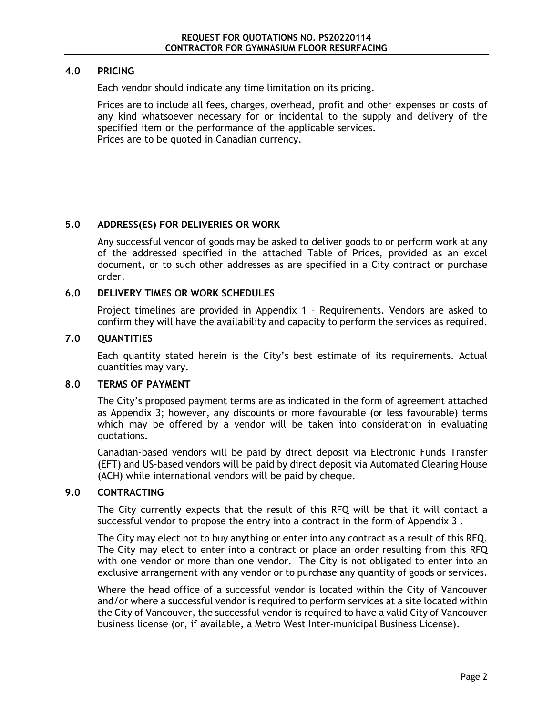#### **4.0 PRICING**

Each vendor should indicate any time limitation on its pricing.

Prices are to include all fees, charges, overhead, profit and other expenses or costs of any kind whatsoever necessary for or incidental to the supply and delivery of the specified item or the performance of the applicable services. Prices are to be quoted in Canadian currency.

### **5.0 ADDRESS(ES) FOR DELIVERIES OR WORK**

Any successful vendor of goods may be asked to deliver goods to or perform work at any of the addressed specified in the attached Table of Prices, provided as an excel document**,** or to such other addresses as are specified in a City contract or purchase order.

#### <span id="page-4-0"></span>**6.0 DELIVERY TIMES OR WORK SCHEDULES**

Project timelines are provided in Appendix 1 – Requirements. Vendors are asked to confirm they will have the availability and capacity to perform the services as required.

#### **7.0 QUANTITIES**

Each quantity stated herein is the City's best estimate of its requirements. Actual quantities may vary.

#### **8.0 TERMS OF PAYMENT**

The City's proposed payment terms are as indicated in the form of agreement attached as Appendix [3;](#page-15-0) however, any discounts or more favourable (or less favourable) terms which may be offered by a vendor will be taken into consideration in evaluating quotations.

Canadian-based vendors will be paid by direct deposit via Electronic Funds Transfer (EFT) and US-based vendors will be paid by direct deposit via Automated Clearing House (ACH) while international vendors will be paid by cheque.

#### **9.0 CONTRACTING**

The City currently expects that the result of this RFQ will be that it will contact a successful vendor to propose the entry into a contract in the form of Appendix [3](#page-15-0) .

The City may elect not to buy anything or enter into any contract as a result of this RFQ. The City may elect to enter into a contract or place an order resulting from this RFQ with one vendor or more than one vendor. The City is not obligated to enter into an exclusive arrangement with any vendor or to purchase any quantity of goods or services.

Where the head office of a successful vendor is located within the City of Vancouver and/or where a successful vendor is required to perform services at a site located within the City of Vancouver, the successful vendor is required to have a valid City of Vancouver business license (or, if available, a Metro West Inter-municipal Business License).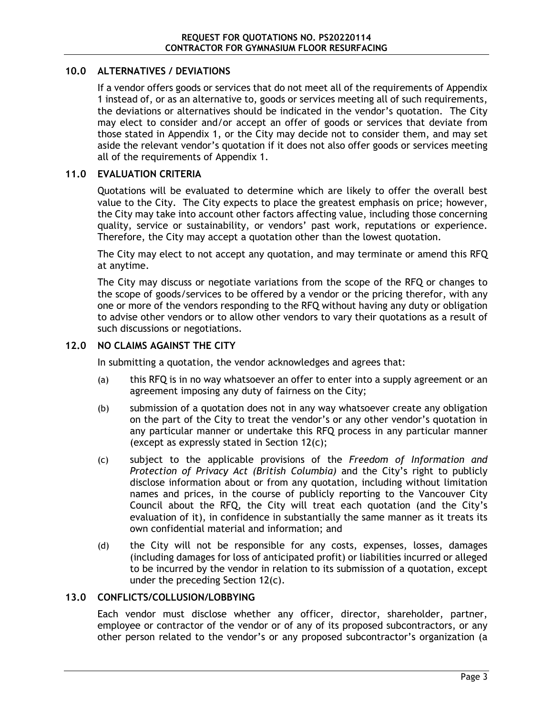#### **10.0 ALTERNATIVES / DEVIATIONS**

If a vendor offers goods or services that do not meet all of the requirements of Appendix [1](#page-12-0) instead of, or as an alternative to, goods or services meeting all of such requirements, the deviations or alternatives should be indicated in the vendor's quotation. The City may elect to consider and/or accept an offer of goods or services that deviate from those stated in Appendix [1,](#page-12-0) or the City may decide not to consider them, and may set aside the relevant vendor's quotation if it does not also offer goods or services meeting all of the requirements of Appendix [1.](#page-12-0)

#### **11.0 EVALUATION CRITERIA**

Quotations will be evaluated to determine which are likely to offer the overall best value to the City. The City expects to place the greatest emphasis on price; however, the City may take into account other factors affecting value, including those concerning quality, service or sustainability, or vendors' past work, reputations or experience. Therefore, the City may accept a quotation other than the lowest quotation.

The City may elect to not accept any quotation, and may terminate or amend this RFQ at anytime.

The City may discuss or negotiate variations from the scope of the RFQ or changes to the scope of goods/services to be offered by a vendor or the pricing therefor, with any one or more of the vendors responding to the RFQ without having any duty or obligation to advise other vendors or to allow other vendors to vary their quotations as a result of such discussions or negotiations.

#### **12.0 NO CLAIMS AGAINST THE CITY**

In submitting a quotation, the vendor acknowledges and agrees that:

- (a) this RFQ is in no way whatsoever an offer to enter into a supply agreement or an agreement imposing any duty of fairness on the City;
- (b) submission of a quotation does not in any way whatsoever create any obligation on the part of the City to treat the vendor's or any other vendor's quotation in any particular manner or undertake this RFQ process in any particular manner (except as expressly stated in Section [12\(c\);](#page-5-0)
- <span id="page-5-0"></span>(c) subject to the applicable provisions of the *Freedom of Information and Protection of Privacy Act (British Columbia)* and the City's right to publicly disclose information about or from any quotation, including without limitation names and prices, in the course of publicly reporting to the Vancouver City Council about the RFQ, the City will treat each quotation (and the City's evaluation of it), in confidence in substantially the same manner as it treats its own confidential material and information; and
- (d) the City will not be responsible for any costs, expenses, losses, damages (including damages for loss of anticipated profit) or liabilities incurred or alleged to be incurred by the vendor in relation to its submission of a quotation, except under the preceding Section [12\(c\).](#page-5-0)

#### <span id="page-5-1"></span>**13.0 CONFLICTS/COLLUSION/LOBBYING**

Each vendor must disclose whether any officer, director, shareholder, partner, employee or contractor of the vendor or of any of its proposed subcontractors, or any other person related to the vendor's or any proposed subcontractor's organization (a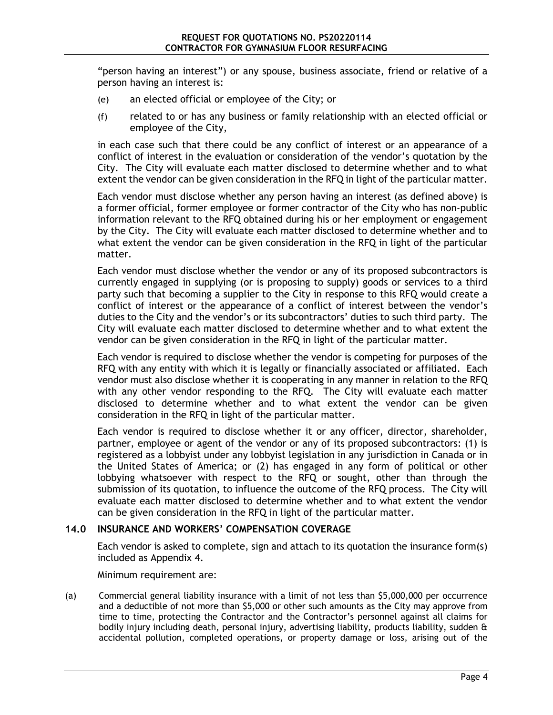"person having an interest") or any spouse, business associate, friend or relative of a person having an interest is:

- (e) an elected official or employee of the City; or
- (f) related to or has any business or family relationship with an elected official or employee of the City,

in each case such that there could be any conflict of interest or an appearance of a conflict of interest in the evaluation or consideration of the vendor's quotation by the City. The City will evaluate each matter disclosed to determine whether and to what extent the vendor can be given consideration in the RFQ in light of the particular matter.

Each vendor must disclose whether any person having an interest (as defined above) is a former official, former employee or former contractor of the City who has non-public information relevant to the RFQ obtained during his or her employment or engagement by the City. The City will evaluate each matter disclosed to determine whether and to what extent the vendor can be given consideration in the RFQ in light of the particular matter.

Each vendor must disclose whether the vendor or any of its proposed subcontractors is currently engaged in supplying (or is proposing to supply) goods or services to a third party such that becoming a supplier to the City in response to this RFQ would create a conflict of interest or the appearance of a conflict of interest between the vendor's duties to the City and the vendor's or its subcontractors' duties to such third party. The City will evaluate each matter disclosed to determine whether and to what extent the vendor can be given consideration in the RFQ in light of the particular matter.

Each vendor is required to disclose whether the vendor is competing for purposes of the RFQ with any entity with which it is legally or financially associated or affiliated. Each vendor must also disclose whether it is cooperating in any manner in relation to the RFQ with any other vendor responding to the RFQ. The City will evaluate each matter disclosed to determine whether and to what extent the vendor can be given consideration in the RFQ in light of the particular matter.

Each vendor is required to disclose whether it or any officer, director, shareholder, partner, employee or agent of the vendor or any of its proposed subcontractors: (1) is registered as a lobbyist under any lobbyist legislation in any jurisdiction in Canada or in the United States of America; or (2) has engaged in any form of political or other lobbying whatsoever with respect to the RFQ or sought, other than through the submission of its quotation, to influence the outcome of the RFQ process. The City will evaluate each matter disclosed to determine whether and to what extent the vendor can be given consideration in the RFQ in light of the particular matter.

#### **14.0 INSURANCE AND WORKERS' COMPENSATION COVERAGE**

Each vendor is asked to complete, sign and attach to its quotation the insurance form(s) included as Appendix [4.](#page-22-0)

Minimum requirement are:

(a) Commercial general liability insurance with a limit of not less than \$5,000,000 per occurrence and a deductible of not more than \$5,000 or other such amounts as the City may approve from time to time, protecting the Contractor and the Contractor's personnel against all claims for bodily injury including death, personal injury, advertising liability, products liability, sudden & accidental pollution, completed operations, or property damage or loss, arising out of the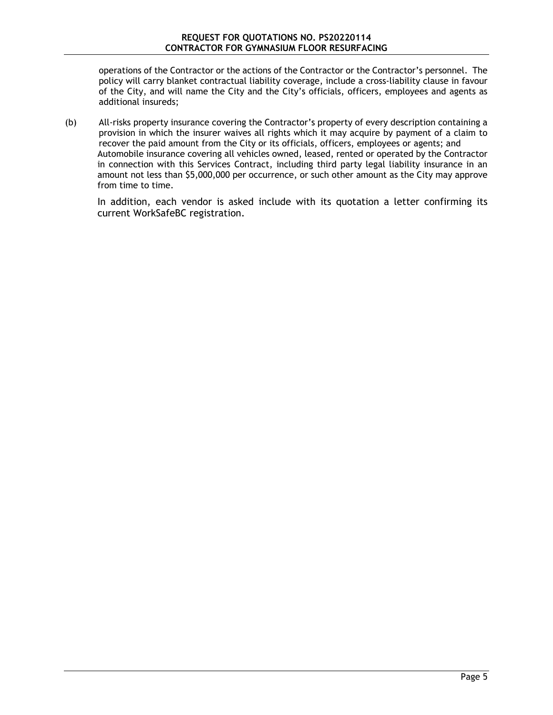operations of the Contractor or the actions of the Contractor or the Contractor's personnel. The policy will carry blanket contractual liability coverage, include a cross-liability clause in favour of the City, and will name the City and the City's officials, officers, employees and agents as additional insureds;

(b) All-risks property insurance covering the Contractor's property of every description containing a provision in which the insurer waives all rights which it may acquire by payment of a claim to recover the paid amount from the City or its officials, officers, employees or agents; and Automobile insurance covering all vehicles owned, leased, rented or operated by the Contractor in connection with this Services Contract, including third party legal liability insurance in an amount not less than \$5,000,000 per occurrence, or such other amount as the City may approve from time to time.

In addition, each vendor is asked include with its quotation a letter confirming its current WorkSafeBC registration.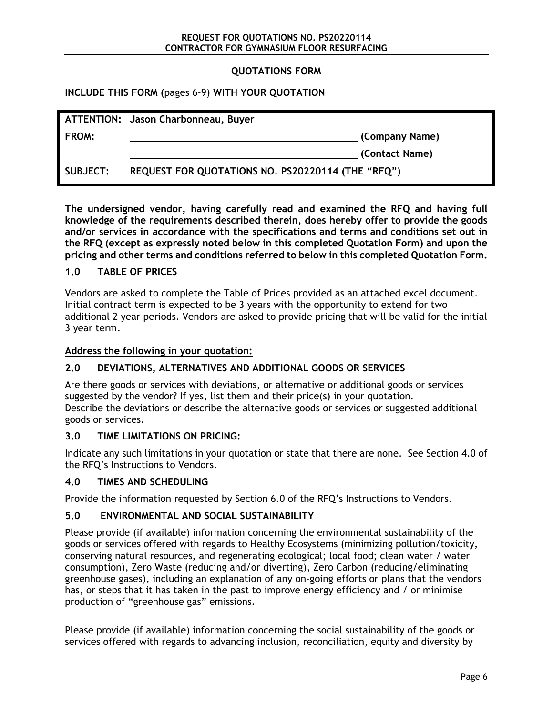#### **QUOTATIONS FORM**

**INCLUDE THIS FORM (**pages 6-9) **WITH YOUR QUOTATION**

|                 | ATTENTION: Jason Charbonneau, Buyer               |                |
|-----------------|---------------------------------------------------|----------------|
| FROM:           |                                                   | (Company Name) |
|                 |                                                   | (Contact Name) |
| <b>SUBJECT:</b> | REQUEST FOR QUOTATIONS NO. PS20220114 (THE "RFQ") |                |

**The undersigned vendor, having carefully read and examined the RFQ and having full knowledge of the requirements described therein, does hereby offer to provide the goods and/or services in accordance with the specifications and terms and conditions set out in the RFQ (except as expressly noted below in this completed Quotation Form) and upon the pricing and other terms and conditions referred to below in this completed Quotation Form.**

#### **1.0 TABLE OF PRICES**

Vendors are asked to complete the Table of Prices provided as an attached excel document. Initial contract term is expected to be 3 years with the opportunity to extend for two additional 2 year periods. Vendors are asked to provide pricing that will be valid for the initial 3 year term.

#### **Address the following in your quotation:**

#### **2.0 DEVIATIONS, ALTERNATIVES AND ADDITIONAL GOODS OR SERVICES**

Are there goods or services with deviations, or alternative or additional goods or services suggested by the vendor? If yes, list them and their price(s) in your quotation. Describe the deviations or describe the alternative goods or services or suggested additional goods or services.

#### **3.0 TIME LIMITATIONS ON PRICING:**

Indicate any such limitations in your quotation or state that there are none. See Section 4.0 of the RFQ's Instructions to Vendors.

#### **4.0 TIMES AND SCHEDULING**

Provide the information requested by Section [6.0](#page-4-0) of the RFQ's Instructions to Vendors.

#### **5.0 ENVIRONMENTAL AND SOCIAL SUSTAINABILITY**

Please provide (if available) information concerning the environmental sustainability of the goods or services offered with regards to Healthy Ecosystems (minimizing pollution/toxicity, conserving natural resources, and regenerating ecological; local food; clean water / water consumption), Zero Waste (reducing and/or diverting), Zero Carbon (reducing/eliminating greenhouse gases), including an explanation of any on-going efforts or plans that the vendors has, or steps that it has taken in the past to improve energy efficiency and / or minimise production of "greenhouse gas" emissions.

Please provide (if available) information concerning the social sustainability of the goods or services offered with regards to advancing inclusion, reconciliation, equity and diversity by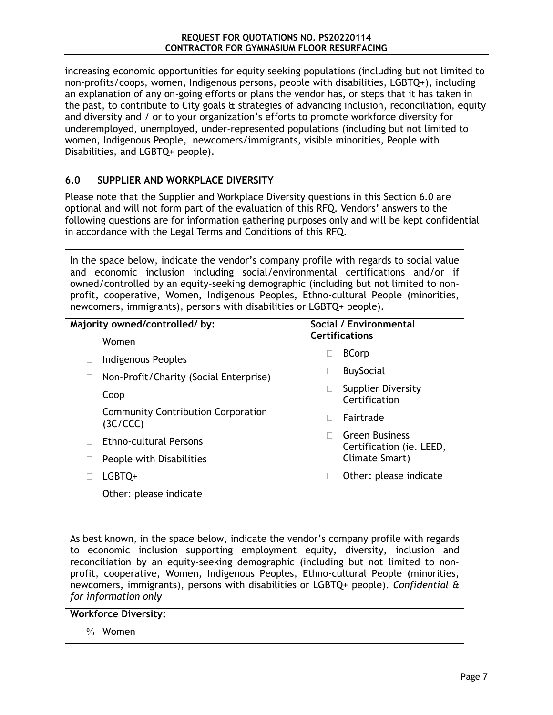increasing economic opportunities for equity seeking populations (including but not limited to non-profits/coops, women, Indigenous persons, people with disabilities, LGBTQ+), including an explanation of any on-going efforts or plans the vendor has, or steps that it has taken in the past, to contribute to City goals & strategies of advancing inclusion, reconciliation, equity and diversity and / or to your organization's efforts to promote workforce diversity for underemployed, unemployed, under-represented populations (including but not limited to women, Indigenous People, newcomers/immigrants, visible minorities, People with Disabilities, and LGBTQ+ people).

#### <span id="page-9-0"></span>**6.0 SUPPLIER AND WORKPLACE DIVERSITY**

Please note that the Supplier and Workplace Diversity questions in this Section [6.0](#page-9-0) are optional and will not form part of the evaluation of this RFQ. Vendors' answers to the following questions are for information gathering purposes only and will be kept confidential in accordance with the Legal Terms and Conditions of this RFQ.

In the space below, indicate the vendor's company profile with regards to social value and economic inclusion including social/environmental certifications and/or if owned/controlled by an equity-seeking demographic (including but not limited to nonprofit, cooperative, Women, Indigenous Peoples, Ethno-cultural People (minorities, newcomers, immigrants), persons with disabilities or LGBTQ+ people).

| Majority owned/controlled/by: |                                                       | Social / Environmental |                                                   |
|-------------------------------|-------------------------------------------------------|------------------------|---------------------------------------------------|
|                               | Women                                                 |                        | <b>Certifications</b>                             |
|                               | Indigenous Peoples                                    |                        | <b>BCorp</b>                                      |
|                               | Non-Profit/Charity (Social Enterprise)                |                        | <b>BuySocial</b>                                  |
|                               | Coop                                                  |                        | <b>Supplier Diversity</b><br>Certification        |
|                               | <b>Community Contribution Corporation</b><br>(3C/CCC) |                        | Fairtrade                                         |
|                               | <b>Ethno-cultural Persons</b>                         |                        | <b>Green Business</b><br>Certification (ie. LEED, |
|                               | People with Disabilities                              |                        | Climate Smart)                                    |
|                               | LGBTQ+                                                |                        | Other: please indicate                            |
|                               | Other: please indicate                                |                        |                                                   |

As best known, in the space below, indicate the vendor's company profile with regards to economic inclusion supporting employment equity, diversity, inclusion and reconciliation by an equity-seeking demographic (including but not limited to nonprofit, cooperative, Women, Indigenous Peoples, Ethno-cultural People (minorities, newcomers, immigrants), persons with disabilities or LGBTQ+ people). *Confidential & for information only*

#### **Workforce Diversity:**

% Women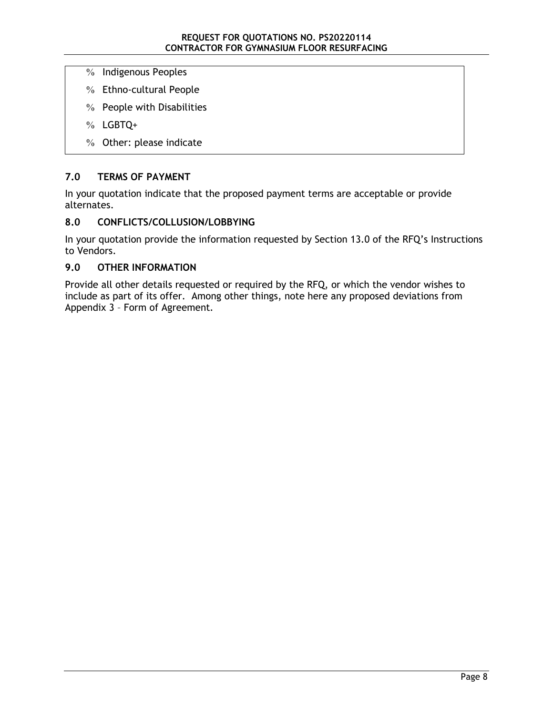- % Indigenous Peoples
- % Ethno-cultural People
- % People with Disabilities
- % LGBTQ+
- % Other: please indicate

#### **7.0 TERMS OF PAYMENT**

In your quotation indicate that the proposed payment terms are acceptable or provide alternates.

#### **8.0 CONFLICTS/COLLUSION/LOBBYING**

In your quotation provide the information requested by Section [13.0](#page-5-1) of the RFQ's Instructions to Vendors.

#### **9.0 OTHER INFORMATION**

Provide all other details requested or required by the RFQ, or which the vendor wishes to include as part of its offer. Among other things, note here any proposed deviations from Appendix [3](#page-15-0) – Form of Agreement*.*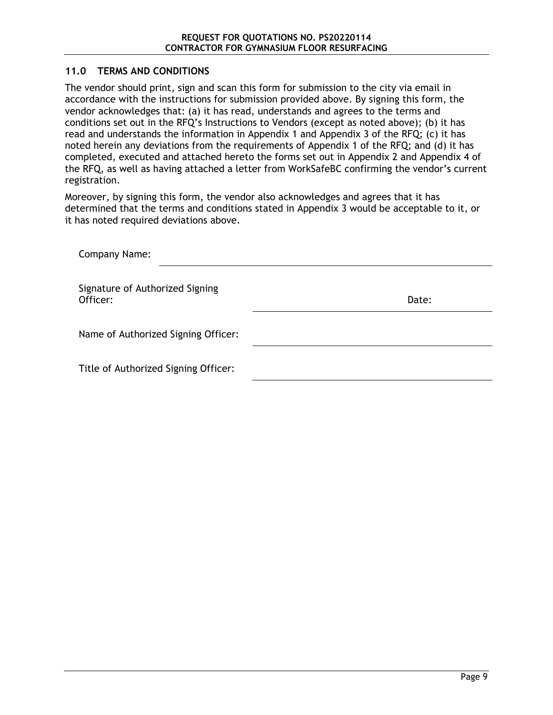#### **11.0 TERMS AND CONDITIONS**

The vendor should print, sign and scan this form for submission to the city via email in accordance with the instructions for submission provided above. By signing this form, the vendor acknowledges that: (a) it has read, understands and agrees to the terms and conditions set out in the RFQ's Instructions to Vendors (except as noted above); (b) it has read and understands the information in Appendix [1](#page-12-0) and Appendix [3](#page-15-0) of the RFQ; (c) it has noted herein any deviations from the requirements of Appendix [1](#page-12-0) of the RFQ; and (d) it has completed, executed and attached hereto the forms set out in Appendix [2](#page-14-0) and Appendix [4](#page-22-0) of the RFQ, as well as having attached a letter from WorkSafeBC confirming the vendor's current registration.

Moreover, by signing this form, the vendor also acknowledges and agrees that it has determined that the terms and conditions stated in Appendix [3](#page-15-0) would be acceptable to it, or it has noted required deviations above.

| Company Name:                               |       |  |  |  |  |
|---------------------------------------------|-------|--|--|--|--|
| Signature of Authorized Signing<br>Officer: | Date: |  |  |  |  |
| Name of Authorized Signing Officer:         |       |  |  |  |  |
| Title of Authorized Signing Officer:        |       |  |  |  |  |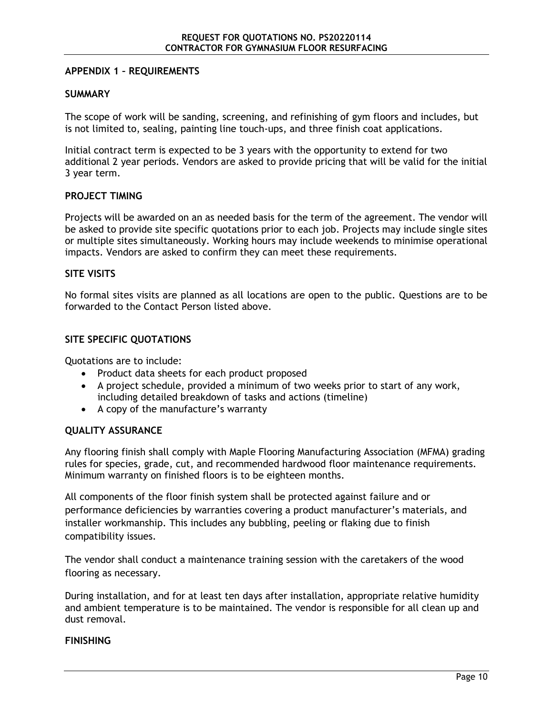#### <span id="page-12-0"></span>**APPENDIX 1 – REQUIREMENTS**

#### **SUMMARY**

The scope of work will be sanding, screening, and refinishing of gym floors and includes, but is not limited to, sealing, painting line touch-ups, and three finish coat applications.

Initial contract term is expected to be 3 years with the opportunity to extend for two additional 2 year periods. Vendors are asked to provide pricing that will be valid for the initial 3 year term.

#### **PROJECT TIMING**

Projects will be awarded on an as needed basis for the term of the agreement. The vendor will be asked to provide site specific quotations prior to each job. Projects may include single sites or multiple sites simultaneously. Working hours may include weekends to minimise operational impacts. Vendors are asked to confirm they can meet these requirements.

#### **SITE VISITS**

No formal sites visits are planned as all locations are open to the public. Questions are to be forwarded to the Contact Person listed above.

#### **SITE SPECIFIC QUOTATIONS**

Quotations are to include:

- Product data sheets for each product proposed
- A project schedule, provided a minimum of two weeks prior to start of any work, including detailed breakdown of tasks and actions (timeline)
- A copy of the manufacture's warranty

#### **QUALITY ASSURANCE**

Any flooring finish shall comply with Maple Flooring Manufacturing Association (MFMA) grading rules for species, grade, cut, and recommended hardwood floor maintenance requirements. Minimum warranty on finished floors is to be eighteen months.

All components of the floor finish system shall be protected against failure and or performance deficiencies by warranties covering a product manufacturer's materials, and installer workmanship. This includes any bubbling, peeling or flaking due to finish compatibility issues.

The vendor shall conduct a maintenance training session with the caretakers of the wood flooring as necessary.

During installation, and for at least ten days after installation, appropriate relative humidity and ambient temperature is to be maintained. The vendor is responsible for all clean up and dust removal.

#### **FINISHING**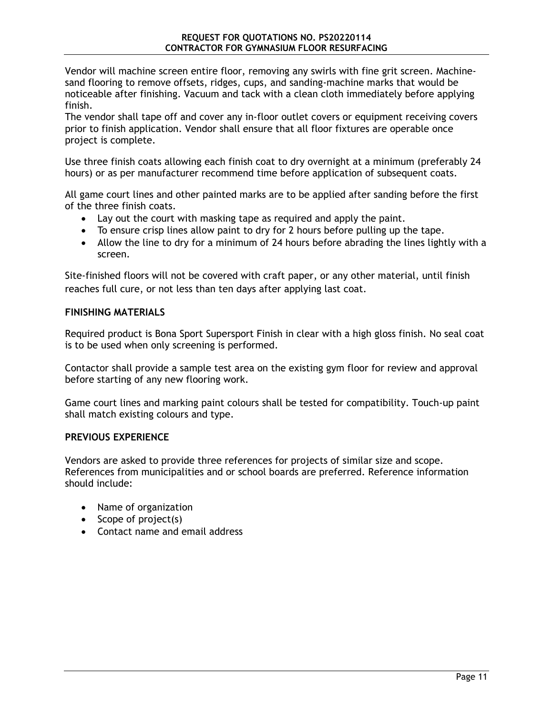Vendor will machine screen entire floor, removing any swirls with fine grit screen. Machinesand flooring to remove offsets, ridges, cups, and sanding-machine marks that would be noticeable after finishing. Vacuum and tack with a clean cloth immediately before applying finish.

The vendor shall tape off and cover any in-floor outlet covers or equipment receiving covers prior to finish application. Vendor shall ensure that all floor fixtures are operable once project is complete.

Use three finish coats allowing each finish coat to dry overnight at a minimum (preferably 24 hours) or as per manufacturer recommend time before application of subsequent coats.

All game court lines and other painted marks are to be applied after sanding before the first of the three finish coats.

- Lay out the court with masking tape as required and apply the paint.
- To ensure crisp lines allow paint to dry for 2 hours before pulling up the tape.
- Allow the line to dry for a minimum of 24 hours before abrading the lines lightly with a screen.

Site-finished floors will not be covered with craft paper, or any other material, until finish reaches full cure, or not less than ten days after applying last coat.

#### **FINISHING MATERIALS**

Required product is Bona Sport Supersport Finish in clear with a high gloss finish. No seal coat is to be used when only screening is performed.

Contactor shall provide a sample test area on the existing gym floor for review and approval before starting of any new flooring work.

Game court lines and marking paint colours shall be tested for compatibility. Touch-up paint shall match existing colours and type.

#### **PREVIOUS EXPERIENCE**

Vendors are asked to provide three references for projects of similar size and scope. References from municipalities and or school boards are preferred. Reference information should include:

- Name of organization
- Scope of project(s)
- Contact name and email address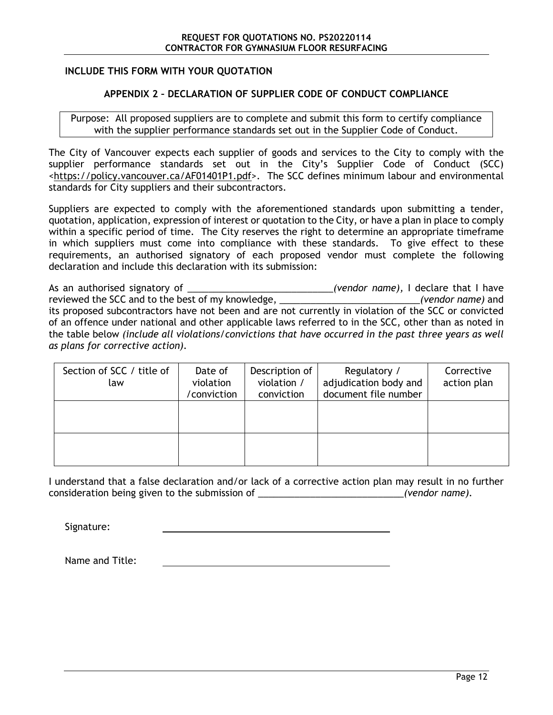#### **INCLUDE THIS FORM WITH YOUR QUOTATION**

#### <span id="page-14-0"></span>**APPENDIX 2 – DECLARATION OF SUPPLIER CODE OF CONDUCT COMPLIANCE**

Purpose: All proposed suppliers are to complete and submit this form to certify compliance with the supplier performance standards set out in the Supplier Code of Conduct.

The City of Vancouver expects each supplier of goods and services to the City to comply with the supplier performance standards set out in the City's Supplier Code of Conduct (SCC) [<https://policy.vancouver.ca/AF01401P1.pdf>](https://policy.vancouver.ca/AF01401P1.pdf). The SCC defines minimum labour and environmental standards for City suppliers and their subcontractors.

Suppliers are expected to comply with the aforementioned standards upon submitting a tender, quotation, application, expression of interest or quotation to the City, or have a plan in place to comply within a specific period of time. The City reserves the right to determine an appropriate timeframe in which suppliers must come into compliance with these standards. To give effect to these requirements, an authorised signatory of each proposed vendor must complete the following declaration and include this declaration with its submission:

As an authorised signatory of \_\_\_\_\_\_\_\_\_\_\_\_\_\_\_\_\_\_\_\_\_\_\_\_\_\_\_\_*(vendor name),* I declare that I have reviewed the SCC and to the best of my knowledge, \_\_\_\_\_\_\_\_\_\_\_\_\_\_\_\_\_\_\_\_\_\_\_\_\_\_\_*(vendor name)* and its proposed subcontractors have not been and are not currently in violation of the SCC or convicted of an offence under national and other applicable laws referred to in the SCC, other than as noted in the table below *(include all violations/convictions that have occurred in the past three years as well as plans for corrective action).*

| Section of SCC / title of<br>law | Date of<br>violation<br>/conviction | Description of<br>violation /<br>conviction | Regulatory /<br>adjudication body and<br>document file number | Corrective<br>action plan |
|----------------------------------|-------------------------------------|---------------------------------------------|---------------------------------------------------------------|---------------------------|
|                                  |                                     |                                             |                                                               |                           |
|                                  |                                     |                                             |                                                               |                           |

I understand that a false declaration and/or lack of a corrective action plan may result in no further consideration being given to the submission of \_\_\_\_\_\_\_\_\_\_\_\_\_\_\_\_\_\_\_\_\_\_\_\_\_\_\_\_*(vendor name).*

Signature:

Name and Title: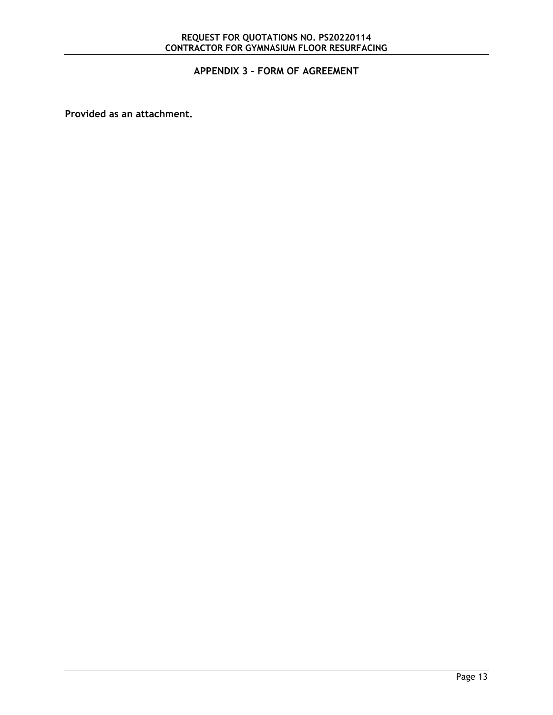## <span id="page-15-0"></span>**APPENDIX 3 – FORM OF AGREEMENT**

**Provided as an attachment.**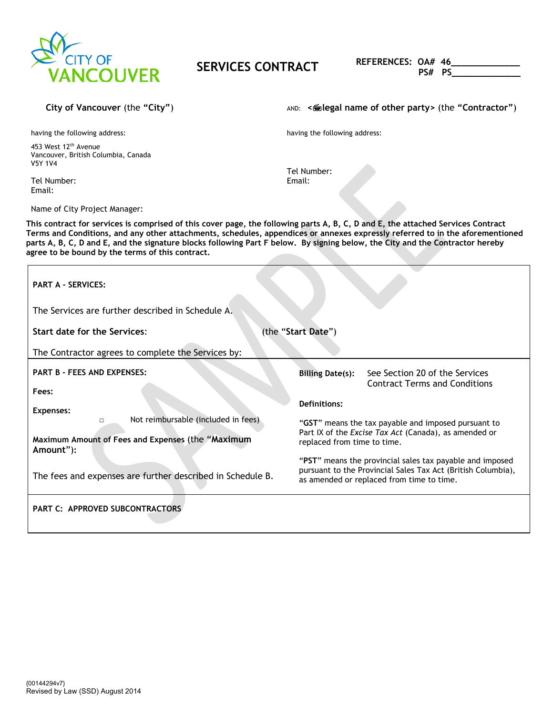

# **SERVICES CONTRACT REFERENCES:** OA# 46

 **PS# PS\_\_\_\_\_\_\_\_\_\_\_\_\_**

having the following address:

453 West 12<sup>th</sup> Avenue Vancouver, British Columbia, Canada V5Y 1V4

Tel Number: Email:

Name of City Project Manager:

**City of Vancouver (the "City")**  $\qquad \qquad \text{and} \qquad \text{and} \qquad \text{where} \quad \text{where} \quad \text{where} \quad \text{and} \quad \text{where} \quad \text{and} \quad \text{and} \quad \text{and} \quad \text{and} \quad \text{and} \quad \text{and} \quad \text{and} \quad \text{and} \quad \text{and} \quad \text{and} \quad \text{and} \quad \text{and} \quad \text{and} \quad \text{and} \quad \text{and} \quad \text{and} \quad \text{and} \quad \text{and} \quad \text{and}$ 

having the following address:

Tel Number: Email:

**This contract for services is comprised of this cover page, the following parts A, B, C, D and E, the attached Services Contract Terms and Conditions, and any other attachments, schedules, appendices or annexes expressly referred to in the aforementioned parts A, B, C, D and E, and the signature blocks following Part F below. By signing below, the City and the Contractor hereby agree to be bound by the terms of this contract.**

| <b>PART A - SERVICES:</b><br>The Services are further described in Schedule A. |                                                                                                                                                                       |
|--------------------------------------------------------------------------------|-----------------------------------------------------------------------------------------------------------------------------------------------------------------------|
| <b>Start date for the Services:</b>                                            | (the "Start Date")                                                                                                                                                    |
| The Contractor agrees to complete the Services by:                             |                                                                                                                                                                       |
| <b>PART B - FEES AND EXPENSES:</b>                                             | See Section 20 of the Services<br><b>Billing Date(s):</b><br><b>Contract Terms and Conditions</b>                                                                     |
| Fees:<br>Expenses:                                                             | Definitions:                                                                                                                                                          |
| Not reimbursable (included in fees)<br>П                                       | "GST" means the tax payable and imposed pursuant to<br>Part IX of the Excise Tax Act (Canada), as amended or                                                          |
| Maximum Amount of Fees and Expenses (the "Maximum<br>Amount"):                 | replaced from time to time.                                                                                                                                           |
| The fees and expenses are further described in Schedule B.                     | "PST" means the provincial sales tax payable and imposed<br>pursuant to the Provincial Sales Tax Act (British Columbia),<br>as amended or replaced from time to time. |
| <b>PART C: APPROVED SUBCONTRACTORS</b>                                         |                                                                                                                                                                       |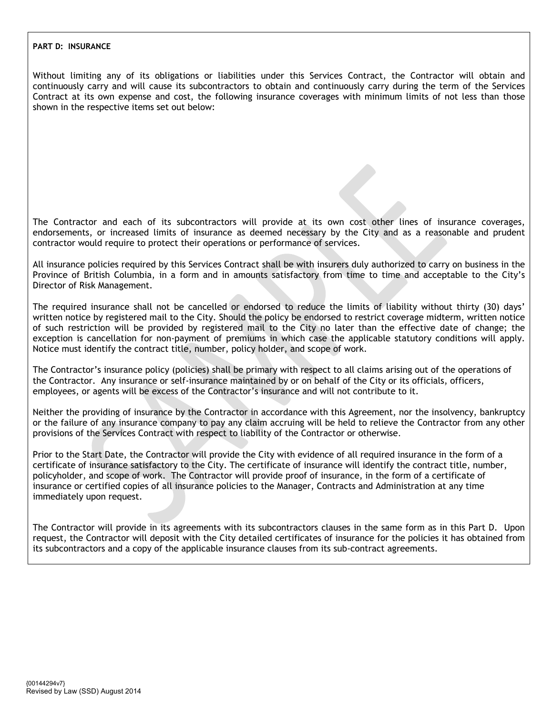#### **PART D: INSURANCE**

Without limiting any of its obligations or liabilities under this Services Contract, the Contractor will obtain and continuously carry and will cause its subcontractors to obtain and continuously carry during the term of the Services Contract at its own expense and cost, the following insurance coverages with minimum limits of not less than those shown in the respective items set out below:

The Contractor and each of its subcontractors will provide at its own cost other lines of insurance coverages, endorsements, or increased limits of insurance as deemed necessary by the City and as a reasonable and prudent contractor would require to protect their operations or performance of services.

All insurance policies required by this Services Contract shall be with insurers duly authorized to carry on business in the Province of British Columbia, in a form and in amounts satisfactory from time to time and acceptable to the City's Director of Risk Management.

The required insurance shall not be cancelled or endorsed to reduce the limits of liability without thirty (30) days' written notice by registered mail to the City. Should the policy be endorsed to restrict coverage midterm, written notice of such restriction will be provided by registered mail to the City no later than the effective date of change; the exception is cancellation for non-payment of premiums in which case the applicable statutory conditions will apply. Notice must identify the contract title, number, policy holder, and scope of work.

The Contractor's insurance policy (policies) shall be primary with respect to all claims arising out of the operations of the Contractor. Any insurance or self-insurance maintained by or on behalf of the City or its officials, officers, employees, or agents will be excess of the Contractor's insurance and will not contribute to it.

Neither the providing of insurance by the Contractor in accordance with this Agreement, nor the insolvency, bankruptcy or the failure of any insurance company to pay any claim accruing will be held to relieve the Contractor from any other provisions of the Services Contract with respect to liability of the Contractor or otherwise.

Prior to the Start Date, the Contractor will provide the City with evidence of all required insurance in the form of a certificate of insurance satisfactory to the City. The certificate of insurance will identify the contract title, number, policyholder, and scope of work. The Contractor will provide proof of insurance, in the form of a certificate of insurance or certified copies of all insurance policies to the Manager, Contracts and Administration at any time immediately upon request.

The Contractor will provide in its agreements with its subcontractors clauses in the same form as in this Part D. Upon request, the Contractor will deposit with the City detailed certificates of insurance for the policies it has obtained from its subcontractors and a copy of the applicable insurance clauses from its sub-contract agreements.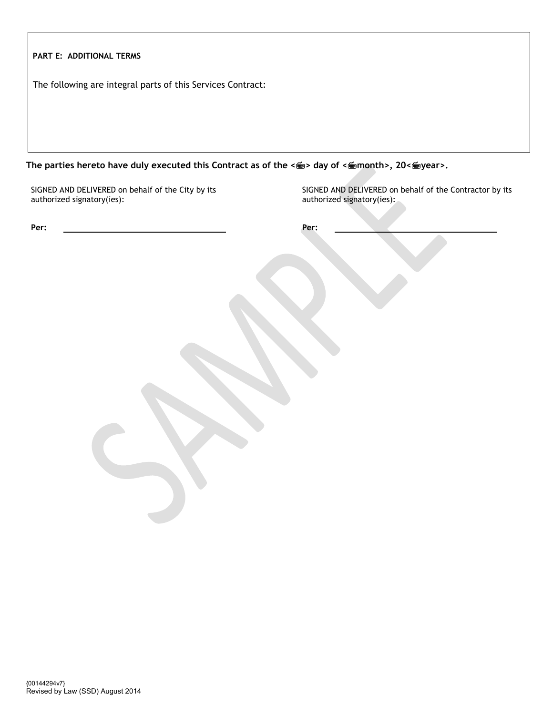| PART E: ADDITIONAL TERMS                                                        |                                                                                       |
|---------------------------------------------------------------------------------|---------------------------------------------------------------------------------------|
| The following are integral parts of this Services Contract:                     |                                                                                       |
|                                                                                 |                                                                                       |
|                                                                                 |                                                                                       |
|                                                                                 |                                                                                       |
|                                                                                 |                                                                                       |
| SIGNED AND DELIVERED on behalf of the City by its<br>authorized signatory(ies): | SIGNED AND DELIVERED on behalf of the Contractor by its<br>authorized signatory(ies): |
| Per:                                                                            | Per:                                                                                  |
|                                                                                 |                                                                                       |
|                                                                                 |                                                                                       |
|                                                                                 |                                                                                       |
|                                                                                 |                                                                                       |
|                                                                                 |                                                                                       |
|                                                                                 |                                                                                       |
|                                                                                 |                                                                                       |
|                                                                                 |                                                                                       |
|                                                                                 |                                                                                       |
|                                                                                 |                                                                                       |
|                                                                                 |                                                                                       |
|                                                                                 |                                                                                       |
|                                                                                 |                                                                                       |
|                                                                                 |                                                                                       |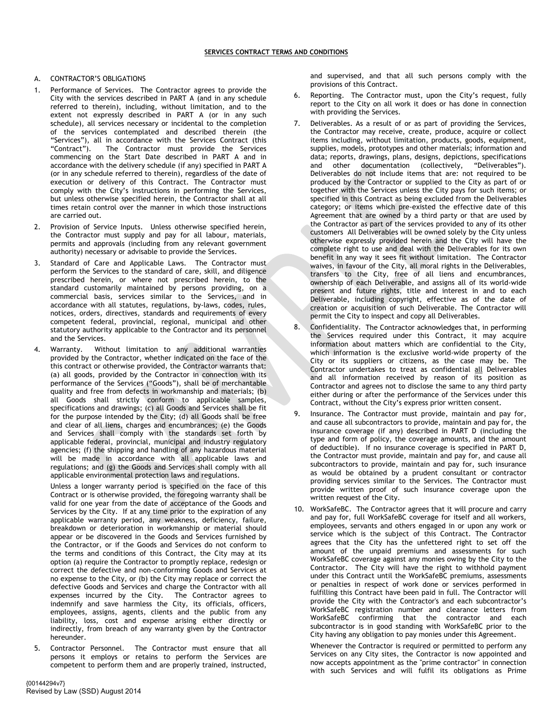#### A. CONTRACTOR'S OBLIGATIONS

- Performance of Services. The Contractor agrees to provide the City with the services described in PART A (and in any schedule referred to therein), including, without limitation, and to the extent not expressly described in PART A (or in any such schedule), all services necessary or incidental to the completion of the services contemplated and described therein (the "Services"), all in accordance with the Services Contract (this "Contract"). The Contractor must provide the Services The Contractor must provide the Services commencing on the Start Date described in PART A and in accordance with the delivery schedule (if any) specified in PART A (or in any schedule referred to therein), regardless of the date of execution or delivery of this Contract. The Contractor must comply with the City's instructions in performing the Services, but unless otherwise specified herein, the Contractor shall at all times retain control over the manner in which those instructions are carried out.
- 2. Provision of Service Inputs. Unless otherwise specified herein, the Contractor must supply and pay for all labour, materials, permits and approvals (including from any relevant government authority) necessary or advisable to provide the Services.
- 3. Standard of Care and Applicable Laws. The Contractor must perform the Services to the standard of care, skill, and diligence prescribed herein, or where not prescribed herein, to the standard customarily maintained by persons providing, on a commercial basis, services similar to the Services, and in accordance with all statutes, regulations, by-laws, codes, rules, notices, orders, directives, standards and requirements of every competent federal, provincial, regional, municipal and other statutory authority applicable to the Contractor and its personnel and the Services.
- 4. Warranty. Without limitation to any additional warranties provided by the Contractor, whether indicated on the face of the this contract or otherwise provided, the Contractor warrants that: (a) all goods, provided by the Contractor in connection with its performance of the Services ("Goods"), shall be of merchantable quality and free from defects in workmanship and materials; (b) all Goods shall strictly conform to applicable samples, specifications and drawings; (c) all Goods and Services shall be fit for the purpose intended by the City; (d) all Goods shall be free and clear of all liens, charges and encumbrances; (e) the Goods and Services shall comply with the standards set forth by applicable federal, provincial, municipal and industry regulatory agencies; (f) the shipping and handling of any hazardous material will be made in accordance with all applicable laws and regulations; and (g) the Goods and Services shall comply with all applicable environmental protection laws and regulations.
	- Unless a longer warranty period is specified on the face of this Contract or is otherwise provided, the foregoing warranty shall be valid for one year from the date of acceptance of the Goods and Services by the City. If at any time prior to the expiration of any applicable warranty period, any weakness, deficiency, failure, breakdown or deterioration in workmanship or material should appear or be discovered in the Goods and Services furnished by the Contractor, or if the Goods and Services do not conform to the terms and conditions of this Contract, the City may at its option (a) require the Contractor to promptly replace, redesign or correct the defective and non-conforming Goods and Services at no expense to the City, or (b) the City may replace or correct the defective Goods and Services and charge the Contractor with all expenses incurred by the City. The Contractor agrees to expenses incurred by the City. indemnify and save harmless the City, its officials, officers, employees, assigns, agents, clients and the public from any liability, loss, cost and expense arising either directly or indirectly, from breach of any warranty given by the Contractor hereunder.
- 5. Contractor Personnel. The Contractor must ensure that all persons it employs or retains to perform the Services are competent to perform them and are properly trained, instructed,

and supervised, and that all such persons comply with the provisions of this Contract.

- 6. Reporting. The Contractor must, upon the City's request, fully report to the City on all work it does or has done in connection with providing the Services.
- Deliverables. As a result of or as part of providing the Services, the Contractor may receive, create, produce, acquire or collect items including, without limitation, products, goods, equipment, supplies, models, prototypes and other materials; information and data; reports, drawings, plans, designs, depictions, specifications and other documentation (collectively, "Deliverables"). Deliverables do not include items that are: not required to be produced by the Contractor or supplied to the City as part of or together with the Services unless the City pays for such items; or specified in this Contract as being excluded from the Deliverables category; or items which pre-existed the effective date of this Agreement that are owned by a third party or that are used by the Contractor as part of the services provided to any of its other customers All Deliverables will be owned solely by the City unless otherwise expressly provided herein and the City will have the complete right to use and deal with the Deliverables for its own benefit in any way it sees fit without limitation. The Contractor waives, in favour of the City, all moral rights in the Deliverables, transfers to the City, free of all liens and encumbrances, ownership of each Deliverable, and assigns all of its world-wide present and future rights, title and interest in and to each Deliverable, including copyright, effective as of the date of creation or acquisition of such Deliverable. The Contractor will permit the City to inspect and copy all Deliverables.
- 8. Confidentiality. The Contractor acknowledges that, in performing the Services required under this Contract, it may acquire information about matters which are confidential to the City, which information is the exclusive world-wide property of the City or its suppliers or citizens, as the case may be. The Contractor undertakes to treat as confidential all Deliverables and all information received by reason of its position as Contractor and agrees not to disclose the same to any third party either during or after the performance of the Services under this Contract, without the City's express prior written consent.
- 9. Insurance. The Contractor must provide, maintain and pay for, and cause all subcontractors to provide, maintain and pay for, the insurance coverage (if any) described in PART D (including the type and form of policy, the coverage amounts, and the amount of deductible). If no insurance coverage is specified in PART D, the Contractor must provide, maintain and pay for, and cause all subcontractors to provide, maintain and pay for, such insurance as would be obtained by a prudent consultant or contractor providing services similar to the Services. The Contractor must provide written proof of such insurance coverage upon the written request of the City.
- 10. WorkSafeBC. The Contractor agrees that it will procure and carry and pay for, full WorkSafeBC coverage for itself and all workers, employees, servants and others engaged in or upon any work or service which is the subject of this Contract. The Contractor agrees that the City has the unfettered right to set off the amount of the unpaid premiums and assessments for such WorkSafeBC coverage against any monies owing by the City to the Contractor. The City will have the right to withhold payment under this Contract until the WorkSafeBC premiums, assessments or penalties in respect of work done or services performed in fulfilling this Contract have been paid in full. The Contractor will provide the City with the Contractor's and each subcontractor's WorkSafeBC registration number and clearance letters from WorkSafeBC confirming that the contractor and each subcontractor is in good standing with WorkSafeBC prior to the City having any obligation to pay monies under this Agreement.

Whenever the Contractor is required or permitted to perform any Services on any City sites, the Contractor is now appointed and now accepts appointment as the "prime contractor" in connection with such Services and will fulfil its obligations as Prime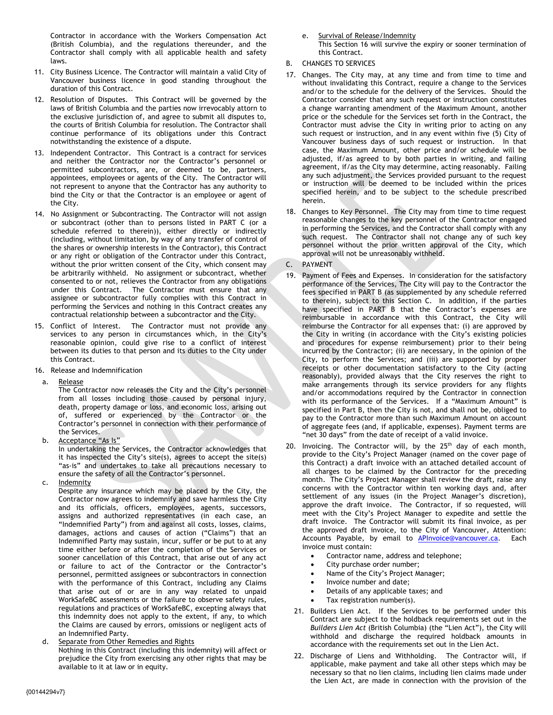Contractor in accordance with the Workers Compensation Act (British Columbia), and the regulations thereunder, and the Contractor shall comply with all applicable health and safety laws.

- 11. City Business Licence. The Contractor will maintain a valid City of Vancouver business licence in good standing throughout the duration of this Contract.
- 12. Resolution of Disputes. This Contract will be governed by the laws of British Columbia and the parties now irrevocably attorn to the exclusive jurisdiction of, and agree to submit all disputes to, the courts of British Columbia for resolution. The Contractor shall continue performance of its obligations under this Contract notwithstanding the existence of a dispute.
- 13. Independent Contractor. This Contract is a contract for services and neither the Contractor nor the Contractor's personnel or permitted subcontractors, are, or deemed to be, partners, appointees, employees or agents of the City. The Contractor will not represent to anyone that the Contractor has any authority to bind the City or that the Contractor is an employee or agent of the City.
- 14. No Assignment or Subcontracting. The Contractor will not assign or subcontract (other than to persons listed in PART C (or a schedule referred to therein)), either directly or indirectly (including, without limitation, by way of any transfer of control of the shares or ownership interests in the Contractor), this Contract or any right or obligation of the Contractor under this Contract, without the prior written consent of the City, which consent may be arbitrarily withheld. No assignment or subcontract, whether consented to or not, relieves the Contractor from any obligations under this Contract. The Contractor must ensure that any assignee or subcontractor fully complies with this Contract in performing the Services and nothing in this Contract creates any contractual relationship between a subcontractor and the City.
- 15. Conflict of Interest. The Contractor must not provide any services to any person in circumstances which, in the City's reasonable opinion, could give rise to a conflict of interest between its duties to that person and its duties to the City under this Contract.
- 16. Release and Indemnification
- a. Release

The Contractor now releases the City and the City's personnel from all losses including those caused by personal injury, death, property damage or loss, and economic loss, arising out of, suffered or experienced by the Contractor or the Contractor's personnel in connection with their performance of the Services.

b. Acceptance "As Is"

In undertaking the Services, the Contractor acknowledges that it has inspected the City's site(s), agrees to accept the site(s) "as-is" and undertakes to take all precautions necessary to ensure the safety of all the Contractor's personnel.

c. Indemnity

Despite any insurance which may be placed by the City, the Contractor now agrees to indemnify and save harmless the City and its officials, officers, employees, agents, successors, assigns and authorized representatives (in each case, an "Indemnified Party") from and against all costs, losses, claims, damages, actions and causes of action ("Claims") that an Indemnified Party may sustain, incur, suffer or be put to at any time either before or after the completion of the Services or sooner cancellation of this Contract, that arise out of any act or failure to act of the Contractor or the Contractor's personnel, permitted assignees or subcontractors in connection with the performance of this Contract, including any Claims that arise out of or are in any way related to unpaid WorkSafeBC assessments or the failure to observe safety rules, regulations and practices of WorkSafeBC, excepting always that this indemnity does not apply to the extent, if any, to which the Claims are caused by errors, omissions or negligent acts of an Indemnified Party.

d. Separate from Other Remedies and Rights

Nothing in this Contract (including this indemnity) will affect or prejudice the City from exercising any other rights that may be available to it at law or in equity.

e. Survival of Release/Indemnity

This Section 16 will survive the expiry or sooner termination of this Contract.

- B. CHANGES TO SERVICES
- 17. Changes. The City may, at any time and from time to time and without invalidating this Contract, require a change to the Services and/or to the schedule for the delivery of the Services. Should the Contractor consider that any such request or instruction constitutes a change warranting amendment of the Maximum Amount, another price or the schedule for the Services set forth in the Contract, the Contractor must advise the City in writing prior to acting on any such request or instruction, and in any event within five (5) City of Vancouver business days of such request or instruction. In that case, the Maximum Amount, other price and/or schedule will be adjusted, if/as agreed to by both parties in writing, and failing agreement, if/as the City may determine, acting reasonably. Failing any such adjustment, the Services provided pursuant to the request or instruction will be deemed to be included within the prices specified herein, and to be subject to the schedule prescribed herein.
- 18. Changes to Key Personnel. The City may from time to time request reasonable changes to the key personnel of the Contractor engaged in performing the Services, and the Contractor shall comply with any such request. The Contractor shall not change any of such key personnel without the prior written approval of the City, which approval will not be unreasonably withheld.
- C. PAYMENT
- 19. Payment of Fees and Expenses. In consideration for the satisfactory performance of the Services, The City will pay to the Contractor the fees specified in PART B (as supplemented by any schedule referred to therein), subject to this Section C. In addition, if the parties have specified in PART B that the Contractor's expenses are reimbursable in accordance with this Contract, the City will reimburse the Contractor for all expenses that: (i) are approved by the City in writing (in accordance with the City's existing policies and procedures for expense reimbursement) prior to their being incurred by the Contractor; (ii) are necessary, in the opinion of the City, to perform the Services; and (iii) are supported by proper receipts or other documentation satisfactory to the City (acting reasonably), provided always that the City reserves the right to make arrangements through its service providers for any flights and/or accommodations required by the Contractor in connection with its performance of the Services. If a "Maximum Amount" is specified in Part B, then the City is not, and shall not be, obliged to pay to the Contractor more than such Maximum Amount on account of aggregate fees (and, if applicable, expenses). Payment terms are "net 30 days" from the date of receipt of a valid invoice.
- 20. Invoicing. The Contractor will, by the 25<sup>th</sup> day of each month, provide to the City's Project Manager (named on the cover page of this Contract) a draft invoice with an attached detailed account of all charges to be claimed by the Contractor for the preceding month. The City's Project Manager shall review the draft, raise any concerns with the Contractor within ten working days and, after settlement of any issues (in the Project Manager's discretion), approve the draft invoice. The Contractor, if so requested, will meet with the City's Project Manager to expedite and settle the draft invoice. The Contractor will submit its final invoice, as per the approved draft invoice, to the City of Vancouver, Attention: Accounts Payable, by email to APInvoice@vancouver.ca. Each invoice must contain:
	- Contractor name, address and telephone;
	- City purchase order number;
	- Name of the City's Project Manager;
	- Invoice number and date:
	- Details of any applicable taxes; and
	- Tax registration number(s).
	- 21. Builders Lien Act. If the Services to be performed under this Contract are subject to the holdback requirements set out in the *Builders Lien Act* (British Columbia) (the "Lien Act"), the City will withhold and discharge the required holdback amounts in accordance with the requirements set out in the Lien Act.
	- 22. Discharge of Liens and Withholding. The Contractor will, if applicable, make payment and take all other steps which may be necessary so that no lien claims, including lien claims made under the Lien Act, are made in connection with the provision of the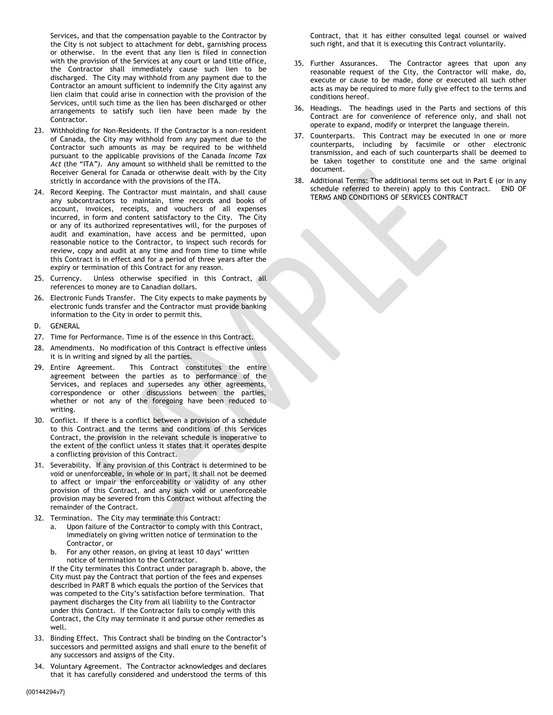Services, and that the compensation payable to the Contractor by the City is not subject to attachment for debt, garnishing process or otherwise. In the event that any lien is filed in connection with the provision of the Services at any court or land title office, the Contractor shall immediately cause such lien to be discharged. The City may withhold from any payment due to the Contractor an amount sufficient to indemnify the City against any lien claim that could arise in connection with the provision of the Services, until such time as the lien has been discharged or other arrangements to satisfy such lien have been made by the Contractor.

- 23. Withholding for Non-Residents. If the Contractor is a non-resident of Canada, the City may withhold from any payment due to the Contractor such amounts as may be required to be withheld pursuant to the applicable provisions of the Canada *Income Tax Act* (the "ITA*")*. Any amount so withheld shall be remitted to the Receiver General for Canada or otherwise dealt with by the City strictly in accordance with the provisions of the ITA.
- 24. Record Keeping. The Contractor must maintain, and shall cause any subcontractors to maintain, time records and books of account, invoices, receipts, and vouchers of all expenses incurred, in form and content satisfactory to the City. The City or any of its authorized representatives will, for the purposes of audit and examination, have access and be permitted, upon reasonable notice to the Contractor, to inspect such records for review, copy and audit at any time and from time to time while this Contract is in effect and for a period of three years after the expiry or termination of this Contract for any reason.
- 25. Currency. Unless otherwise specified in this Contract, all references to money are to Canadian dollars.
- 26. Electronic Funds Transfer. The City expects to make payments by electronic funds transfer and the Contractor must provide banking information to the City in order to permit this.
- D. GENERAL
- 27. Time for Performance. Time is of the essence in this Contract.
- 28. Amendments. No modification of this Contract is effective unless it is in writing and signed by all the parties.
- 29. Entire Agreement. This Contract constitutes the entire agreement between the parties as to performance of the Services, and replaces and supersedes any other agreements, correspondence or other discussions between the parties, whether or not any of the foregoing have been reduced to writing.
- 30. Conflict. If there is a conflict between a provision of a schedule to this Contract and the terms and conditions of this Services Contract, the provision in the relevant schedule is inoperative to the extent of the conflict unless it states that it operates despite a conflicting provision of this Contract.
- 31. Severability. If any provision of this Contract is determined to be void or unenforceable, in whole or in part, it shall not be deemed to affect or impair the enforceability or validity of any other provision of this Contract, and any such void or unenforceable provision may be severed from this Contract without affecting the remainder of the Contract.
- 32. Termination. The City may terminate this Contract:
	- a. Upon failure of the Contractor to comply with this Contract, immediately on giving written notice of termination to the Contractor, or
	- b. For any other reason, on giving at least 10 days' written notice of termination to the Contractor.

If the City terminates this Contract under paragraph b. above, the City must pay the Contract that portion of the fees and expenses described in PART B which equals the portion of the Services that was competed to the City's satisfaction before termination. That payment discharges the City from all liability to the Contractor under this Contract. If the Contractor fails to comply with this Contract, the City may terminate it and pursue other remedies as well.

- 33. Binding Effect. This Contract shall be binding on the Contractor's successors and permitted assigns and shall enure to the benefit of any successors and assigns of the City.
- 34. Voluntary Agreement. The Contractor acknowledges and declares that it has carefully considered and understood the terms of this

Contract, that it has either consulted legal counsel or waived such right, and that it is executing this Contract voluntarily.

- 35. Further Assurances. The Contractor agrees that upon any reasonable request of the City, the Contractor will make, do, execute or cause to be made, done or executed all such other acts as may be required to more fully give effect to the terms and conditions hereof.
- 36. Headings. The headings used in the Parts and sections of this Contract are for convenience of reference only, and shall not operate to expand, modify or interpret the language therein.
- 37. Counterparts. This Contract may be executed in one or more counterparts, including by facsimile or other electronic transmission, and each of such counterparts shall be deemed to be taken together to constitute one and the same original document.
- 38. Additional Terms: The additional terms set out in Part E (or in any schedule referred to therein) apply to this Contract. END OF TERMS AND CONDITIONS OF SERVICES CONTRACT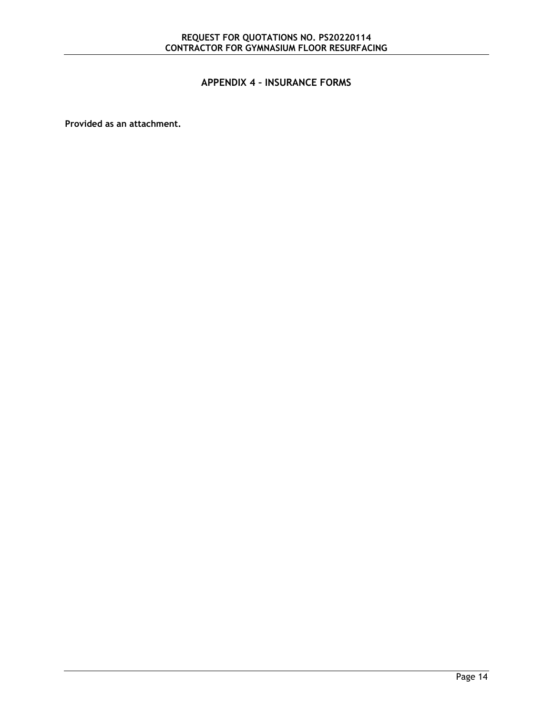## <span id="page-22-0"></span>**APPENDIX 4 – INSURANCE FORMS**

**Provided as an attachment.**